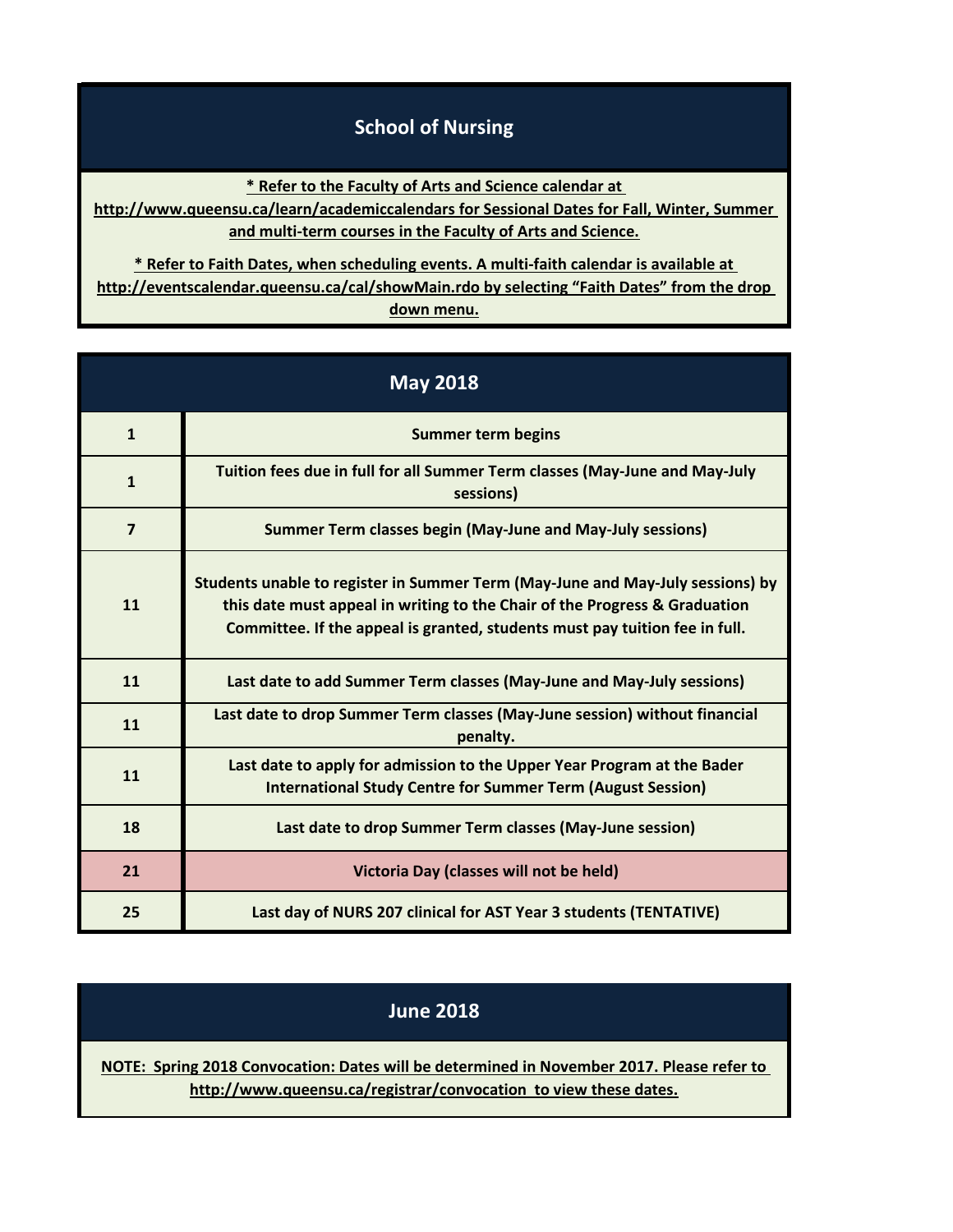## **School of Nursing**

**\* Refer to the Faculty of Arts and Science calendar at** 

**[http://www](http://www.queensu.ca/learn/academiccalendars).queensu.ca/learn/academiccalendars for Sessional Dates for Fall, Winter, Summer and multi-term courses in the Faculty of Arts and Science.**

**[\\* Refer](http://eventscalendar.queensu.ca/cal/showMain.rdo) to Faith Dates, when scheduling events. A multi-faith calendar is available at [http://event](http://eventscalendar.queensu.ca/cal/showMain.rdo)scalendar.queensu.ca/cal/showMain.rdo by selecting "Faith Dates" from the drop down menu.**

| <b>May 2018</b> |                                                                                                                                                                                                                                             |
|-----------------|---------------------------------------------------------------------------------------------------------------------------------------------------------------------------------------------------------------------------------------------|
| $\mathbf{1}$    | <b>Summer term begins</b>                                                                                                                                                                                                                   |
| $\mathbf{1}$    | Tuition fees due in full for all Summer Term classes (May-June and May-July<br>sessions)                                                                                                                                                    |
| $\overline{7}$  | <b>Summer Term classes begin (May-June and May-July sessions)</b>                                                                                                                                                                           |
| 11              | Students unable to register in Summer Term (May-June and May-July sessions) by<br>this date must appeal in writing to the Chair of the Progress & Graduation<br>Committee. If the appeal is granted, students must pay tuition fee in full. |
| 11              | Last date to add Summer Term classes (May-June and May-July sessions)                                                                                                                                                                       |
| 11              | Last date to drop Summer Term classes (May-June session) without financial<br>penalty.                                                                                                                                                      |
| 11              | Last date to apply for admission to the Upper Year Program at the Bader<br><b>International Study Centre for Summer Term (August Session)</b>                                                                                               |
| 18              | Last date to drop Summer Term classes (May-June session)                                                                                                                                                                                    |
| 21              | Victoria Day (classes will not be held)                                                                                                                                                                                                     |
| 25              | Last day of NURS 207 clinical for AST Year 3 students (TENTATIVE)                                                                                                                                                                           |

## **June 2018**

**[NOTE: Sprin](http://www.queensu.ca/registrar/convocation)g 2018 Convocation: Dates will be determined in November 2017. Please refer to [h](http://www.queensu.ca/registrar/convocation)ttp://www.queensu.ca/registrar/convocation to view these dates.**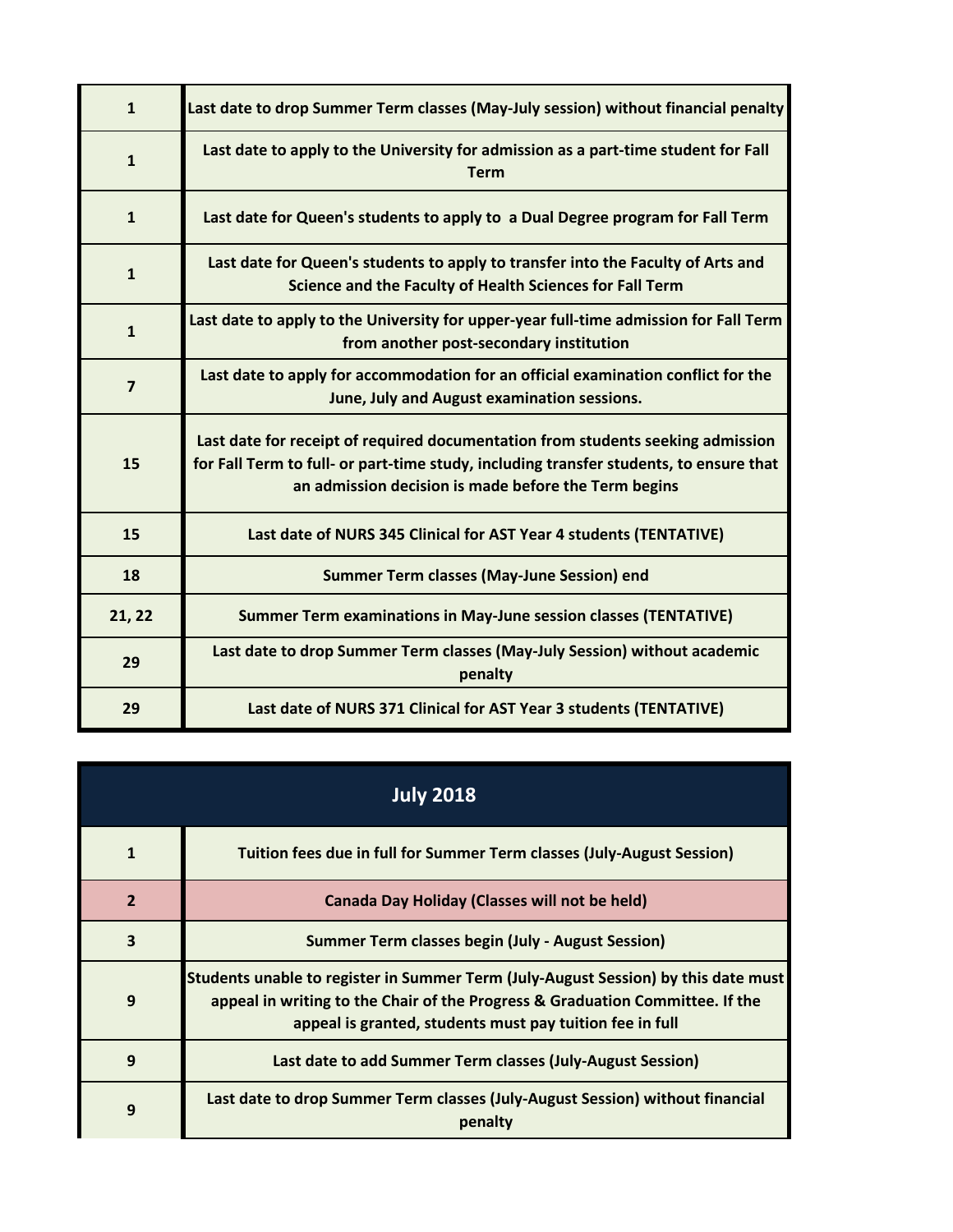| $\mathbf{1}$   | Last date to drop Summer Term classes (May-July session) without financial penalty                                                                                                                                                |
|----------------|-----------------------------------------------------------------------------------------------------------------------------------------------------------------------------------------------------------------------------------|
| $\mathbf{1}$   | Last date to apply to the University for admission as a part-time student for Fall<br><b>Term</b>                                                                                                                                 |
| $\mathbf{1}$   | Last date for Queen's students to apply to a Dual Degree program for Fall Term                                                                                                                                                    |
| $\mathbf{1}$   | Last date for Queen's students to apply to transfer into the Faculty of Arts and<br>Science and the Faculty of Health Sciences for Fall Term                                                                                      |
| $\mathbf{1}$   | Last date to apply to the University for upper-year full-time admission for Fall Term<br>from another post-secondary institution                                                                                                  |
| $\overline{7}$ | Last date to apply for accommodation for an official examination conflict for the<br>June, July and August examination sessions.                                                                                                  |
| 15             | Last date for receipt of required documentation from students seeking admission<br>for Fall Term to full- or part-time study, including transfer students, to ensure that<br>an admission decision is made before the Term begins |
| 15             | Last date of NURS 345 Clinical for AST Year 4 students (TENTATIVE)                                                                                                                                                                |
| 18             | <b>Summer Term classes (May-June Session) end</b>                                                                                                                                                                                 |
| 21, 22         | <b>Summer Term examinations in May-June session classes (TENTATIVE)</b>                                                                                                                                                           |
| 29             | Last date to drop Summer Term classes (May-July Session) without academic<br>penalty                                                                                                                                              |
| 29             | Last date of NURS 371 Clinical for AST Year 3 students (TENTATIVE)                                                                                                                                                                |

| <b>July 2018</b> |                                                                                                                                                                                                                                 |
|------------------|---------------------------------------------------------------------------------------------------------------------------------------------------------------------------------------------------------------------------------|
| $\mathbf{1}$     | Tuition fees due in full for Summer Term classes (July-August Session)                                                                                                                                                          |
| $\overline{2}$   | <b>Canada Day Holiday (Classes will not be held)</b>                                                                                                                                                                            |
| 3                | <b>Summer Term classes begin (July - August Session)</b>                                                                                                                                                                        |
| 9                | Students unable to register in Summer Term (July-August Session) by this date must<br>appeal in writing to the Chair of the Progress & Graduation Committee. If the<br>appeal is granted, students must pay tuition fee in full |
| 9                | Last date to add Summer Term classes (July-August Session)                                                                                                                                                                      |
| 9                | Last date to drop Summer Term classes (July-August Session) without financial<br>penalty                                                                                                                                        |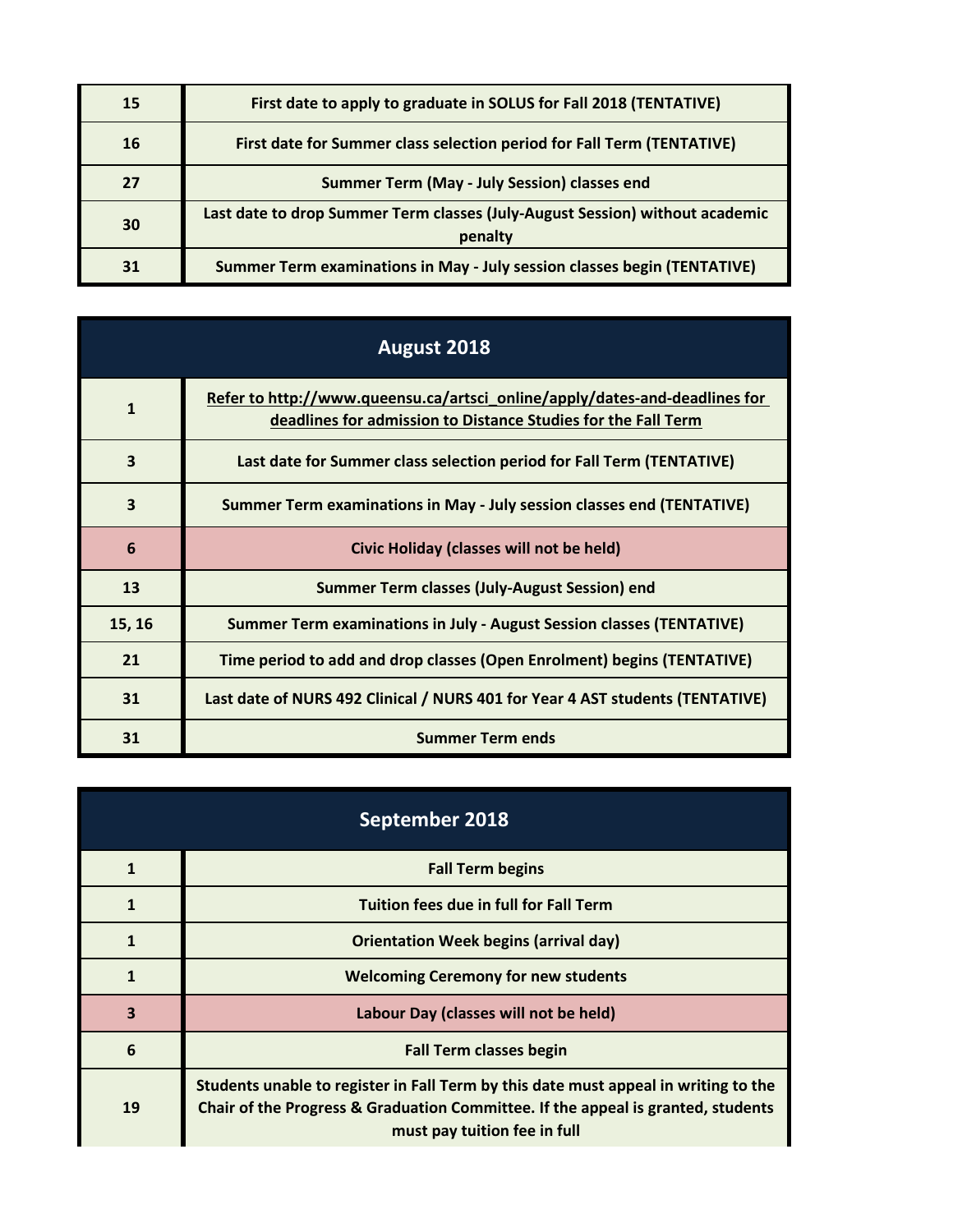| 15 | First date to apply to graduate in SOLUS for Fall 2018 (TENTATIVE)                      |
|----|-----------------------------------------------------------------------------------------|
| 16 | First date for Summer class selection period for Fall Term (TENTATIVE)                  |
| 27 | Summer Term (May - July Session) classes end                                            |
| 30 | Last date to drop Summer Term classes (July-August Session) without academic<br>penalty |
| 31 | Summer Term examinations in May - July session classes begin (TENTATIVE)                |

| August 2018  |                                                                                                                                             |
|--------------|---------------------------------------------------------------------------------------------------------------------------------------------|
| $\mathbf{1}$ | Refer to http://www.queensu.ca/artsci_online/apply/dates-and-deadlines for<br>deadlines for admission to Distance Studies for the Fall Term |
| 3            | Last date for Summer class selection period for Fall Term (TENTATIVE)                                                                       |
| 3            | Summer Term examinations in May - July session classes end (TENTATIVE)                                                                      |
| 6            | Civic Holiday (classes will not be held)                                                                                                    |
| 13           | Summer Term classes (July-August Session) end                                                                                               |
| 15, 16       | <b>Summer Term examinations in July - August Session classes (TENTATIVE)</b>                                                                |
| 21           | Time period to add and drop classes (Open Enrolment) begins (TENTATIVE)                                                                     |
| 31           | Last date of NURS 492 Clinical / NURS 401 for Year 4 AST students (TENTATIVE)                                                               |
| 31           | <b>Summer Term ends</b>                                                                                                                     |

| September 2018 |                                                                                                                                                                                                         |
|----------------|---------------------------------------------------------------------------------------------------------------------------------------------------------------------------------------------------------|
| 1              | <b>Fall Term begins</b>                                                                                                                                                                                 |
|                | <b>Tuition fees due in full for Fall Term</b>                                                                                                                                                           |
| $\mathbf{1}$   | <b>Orientation Week begins (arrival day)</b>                                                                                                                                                            |
| $\mathbf 1$    | <b>Welcoming Ceremony for new students</b>                                                                                                                                                              |
| 3              | Labour Day (classes will not be held)                                                                                                                                                                   |
| 6              | <b>Fall Term classes begin</b>                                                                                                                                                                          |
| 19             | Students unable to register in Fall Term by this date must appeal in writing to the<br>Chair of the Progress & Graduation Committee. If the appeal is granted, students<br>must pay tuition fee in full |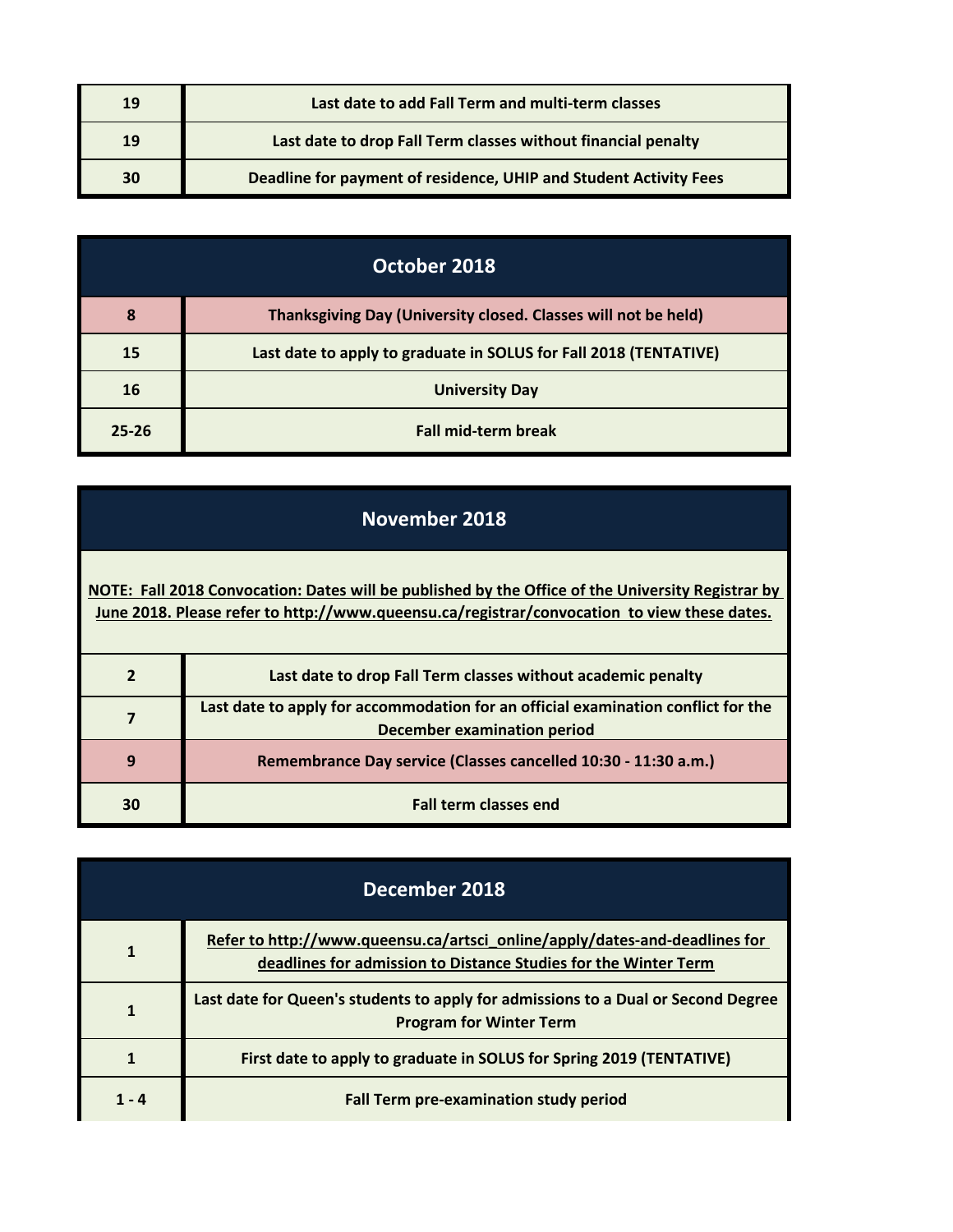| 19 | Last date to add Fall Term and multi-term classes                 |
|----|-------------------------------------------------------------------|
| 19 | Last date to drop Fall Term classes without financial penalty     |
| 30 | Deadline for payment of residence, UHIP and Student Activity Fees |

| October 2018 |                                                                   |
|--------------|-------------------------------------------------------------------|
| 8            | Thanksgiving Day (University closed. Classes will not be held)    |
| 15           | Last date to apply to graduate in SOLUS for Fall 2018 (TENTATIVE) |
| 16           | <b>University Day</b>                                             |
| $25 - 26$    | <b>Fall mid-term break</b>                                        |

## **November 2018**

**[NOTE: Fall 20](http://www.queensu.ca/registrar/convocation)18 Convocation: Dates will be published by the Office of the University Registrar by [June 2018. P](http://www.queensu.ca/registrar/convocation)lease refer to http://www.queensu.ca/registrar/convocation to view these dates.**

|    | Last date to drop Fall Term classes without academic penalty                                                            |
|----|-------------------------------------------------------------------------------------------------------------------------|
|    | Last date to apply for accommodation for an official examination conflict for the<br><b>December examination period</b> |
| 9  | Remembrance Day service (Classes cancelled 10:30 - 11:30 a.m.)                                                          |
| 30 | <b>Fall term classes end</b>                                                                                            |

| December 2018 |                                                                                                                                               |
|---------------|-----------------------------------------------------------------------------------------------------------------------------------------------|
| 1             | Refer to http://www.queensu.ca/artsci_online/apply/dates-and-deadlines for<br>deadlines for admission to Distance Studies for the Winter Term |
|               | Last date for Queen's students to apply for admissions to a Dual or Second Degree<br><b>Program for Winter Term</b>                           |
|               | First date to apply to graduate in SOLUS for Spring 2019 (TENTATIVE)                                                                          |
| 1 - 4         | <b>Fall Term pre-examination study period</b>                                                                                                 |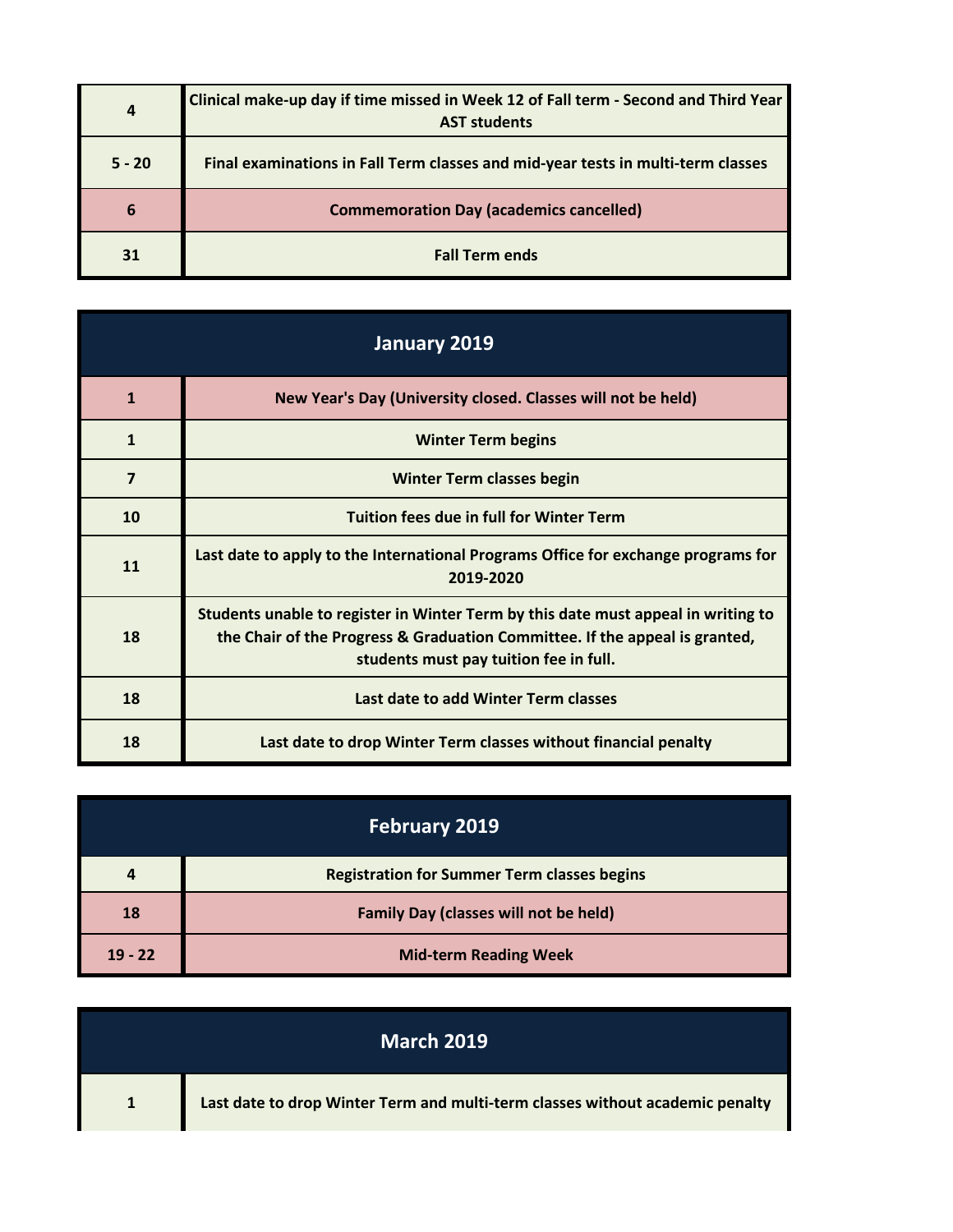| $\overline{a}$ | Clinical make-up day if time missed in Week 12 of Fall term - Second and Third Year<br><b>AST students</b> |
|----------------|------------------------------------------------------------------------------------------------------------|
| $5 - 20$       | Final examinations in Fall Term classes and mid-year tests in multi-term classes                           |
| 6              | <b>Commemoration Day (academics cancelled)</b>                                                             |
| 31             | <b>Fall Term ends</b>                                                                                      |

| January 2019   |                                                                                                                                                                                                            |
|----------------|------------------------------------------------------------------------------------------------------------------------------------------------------------------------------------------------------------|
| $\mathbf{1}$   | New Year's Day (University closed. Classes will not be held)                                                                                                                                               |
| $\mathbf{1}$   | <b>Winter Term begins</b>                                                                                                                                                                                  |
| $\overline{7}$ | <b>Winter Term classes begin</b>                                                                                                                                                                           |
| 10             | <b>Tuition fees due in full for Winter Term</b>                                                                                                                                                            |
| 11             | Last date to apply to the International Programs Office for exchange programs for<br>2019-2020                                                                                                             |
| 18             | Students unable to register in Winter Term by this date must appeal in writing to<br>the Chair of the Progress & Graduation Committee. If the appeal is granted,<br>students must pay tuition fee in full. |
| 18             | Last date to add Winter Term classes                                                                                                                                                                       |
| 18             | Last date to drop Winter Term classes without financial penalty                                                                                                                                            |

|           | <b>February 2019</b>                               |
|-----------|----------------------------------------------------|
| 4         | <b>Registration for Summer Term classes begins</b> |
| 18        | <b>Family Day (classes will not be held)</b>       |
| $19 - 22$ | <b>Mid-term Reading Week</b>                       |

| <b>March 2019</b> |                                                                               |
|-------------------|-------------------------------------------------------------------------------|
| $\mathbf{1}$      | Last date to drop Winter Term and multi-term classes without academic penalty |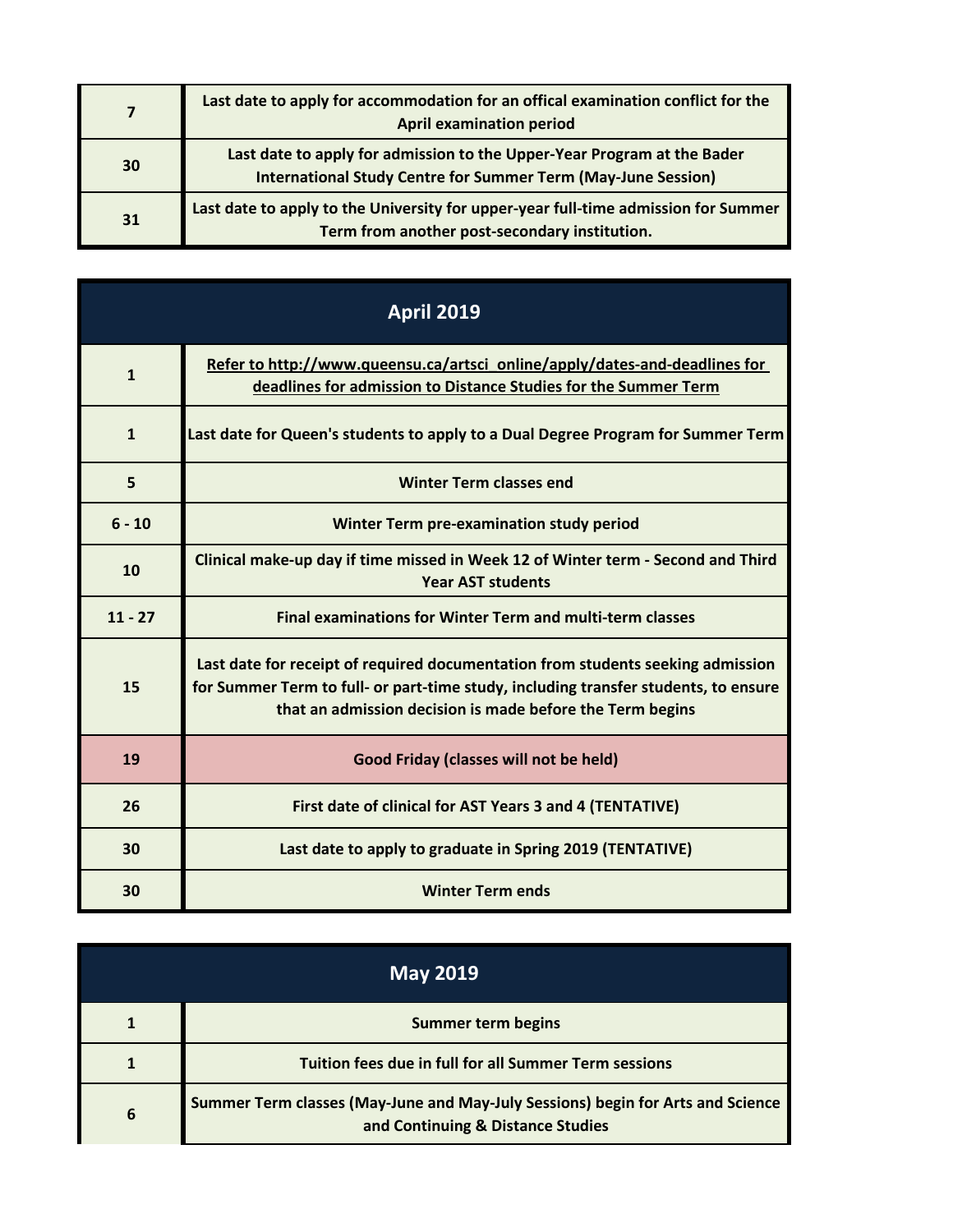|    | Last date to apply for accommodation for an offical examination conflict for the<br><b>April examination period</b>                             |
|----|-------------------------------------------------------------------------------------------------------------------------------------------------|
| 30 | Last date to apply for admission to the Upper-Year Program at the Bader<br><b>International Study Centre for Summer Term (May-June Session)</b> |
| 31 | Last date to apply to the University for upper-year full-time admission for Summer<br>Term from another post-secondary institution.             |

| <b>April 2019</b> |                                                                                                                                                                                                                                     |
|-------------------|-------------------------------------------------------------------------------------------------------------------------------------------------------------------------------------------------------------------------------------|
| $\mathbf{1}$      | Refer to http://www.queensu.ca/artsci_online/apply/dates-and-deadlines for<br>deadlines for admission to Distance Studies for the Summer Term                                                                                       |
| $\mathbf{1}$      | Last date for Queen's students to apply to a Dual Degree Program for Summer Term                                                                                                                                                    |
| 5                 | <b>Winter Term classes end</b>                                                                                                                                                                                                      |
| $6 - 10$          | <b>Winter Term pre-examination study period</b>                                                                                                                                                                                     |
| 10                | Clinical make-up day if time missed in Week 12 of Winter term - Second and Third<br><b>Year AST students</b>                                                                                                                        |
| $11 - 27$         | <b>Final examinations for Winter Term and multi-term classes</b>                                                                                                                                                                    |
| 15                | Last date for receipt of required documentation from students seeking admission<br>for Summer Term to full- or part-time study, including transfer students, to ensure<br>that an admission decision is made before the Term begins |
| 19                | Good Friday (classes will not be held)                                                                                                                                                                                              |
| 26                | First date of clinical for AST Years 3 and 4 (TENTATIVE)                                                                                                                                                                            |
| 30                | Last date to apply to graduate in Spring 2019 (TENTATIVE)                                                                                                                                                                           |
| 30                | <b>Winter Term ends</b>                                                                                                                                                                                                             |

| <b>May 2019</b> |                                                                                                                      |
|-----------------|----------------------------------------------------------------------------------------------------------------------|
|                 | <b>Summer term begins</b>                                                                                            |
|                 | <b>Tuition fees due in full for all Summer Term sessions</b>                                                         |
| 6               | Summer Term classes (May-June and May-July Sessions) begin for Arts and Science<br>and Continuing & Distance Studies |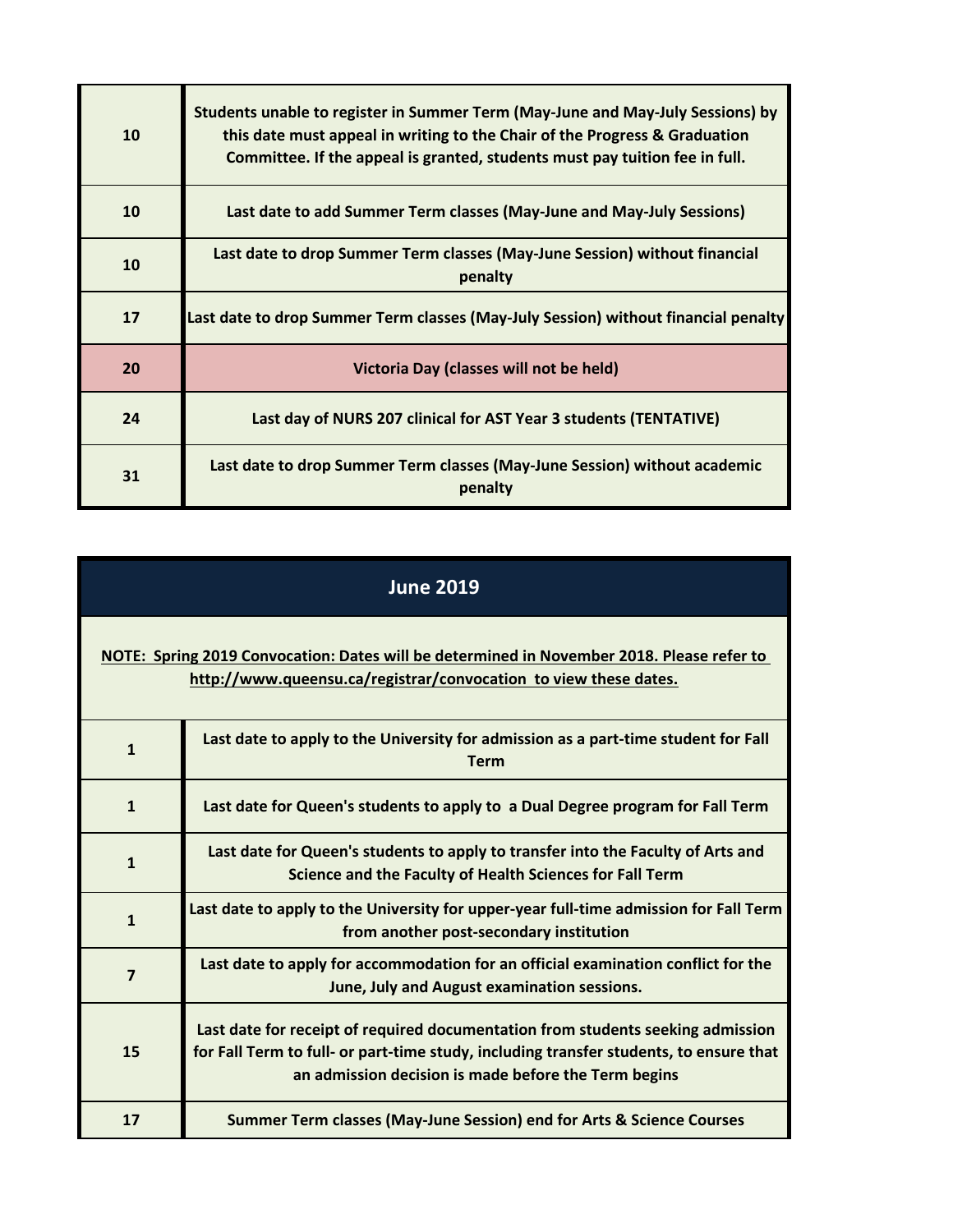| 10 | Students unable to register in Summer Term (May-June and May-July Sessions) by<br>this date must appeal in writing to the Chair of the Progress & Graduation<br>Committee. If the appeal is granted, students must pay tuition fee in full. |
|----|---------------------------------------------------------------------------------------------------------------------------------------------------------------------------------------------------------------------------------------------|
| 10 | Last date to add Summer Term classes (May-June and May-July Sessions)                                                                                                                                                                       |
| 10 | Last date to drop Summer Term classes (May-June Session) without financial<br>penalty                                                                                                                                                       |
| 17 | Last date to drop Summer Term classes (May-July Session) without financial penalty                                                                                                                                                          |
| 20 | Victoria Day (classes will not be held)                                                                                                                                                                                                     |
| 24 | Last day of NURS 207 clinical for AST Year 3 students (TENTATIVE)                                                                                                                                                                           |
| 31 | Last date to drop Summer Term classes (May-June Session) without academic<br>penalty                                                                                                                                                        |

| <b>June 2019</b>                                                                                                                                              |                                                                                                                                                                                                                                   |
|---------------------------------------------------------------------------------------------------------------------------------------------------------------|-----------------------------------------------------------------------------------------------------------------------------------------------------------------------------------------------------------------------------------|
| NOTE: Spring 2019 Convocation: Dates will be determined in November 2018. Please refer to<br>http://www.queensu.ca/registrar/convocation to view these dates. |                                                                                                                                                                                                                                   |
| $\mathbf{1}$                                                                                                                                                  | Last date to apply to the University for admission as a part-time student for Fall<br><b>Term</b>                                                                                                                                 |
| $\mathbf{1}$                                                                                                                                                  | Last date for Queen's students to apply to a Dual Degree program for Fall Term                                                                                                                                                    |
| $\mathbf{1}$                                                                                                                                                  | Last date for Queen's students to apply to transfer into the Faculty of Arts and<br>Science and the Faculty of Health Sciences for Fall Term                                                                                      |
| $\mathbf{1}$                                                                                                                                                  | Last date to apply to the University for upper-year full-time admission for Fall Term<br>from another post-secondary institution                                                                                                  |
| $\overline{7}$                                                                                                                                                | Last date to apply for accommodation for an official examination conflict for the<br>June, July and August examination sessions.                                                                                                  |
| 15                                                                                                                                                            | Last date for receipt of required documentation from students seeking admission<br>for Fall Term to full- or part-time study, including transfer students, to ensure that<br>an admission decision is made before the Term begins |
| 17                                                                                                                                                            | Summer Term classes (May-June Session) end for Arts & Science Courses                                                                                                                                                             |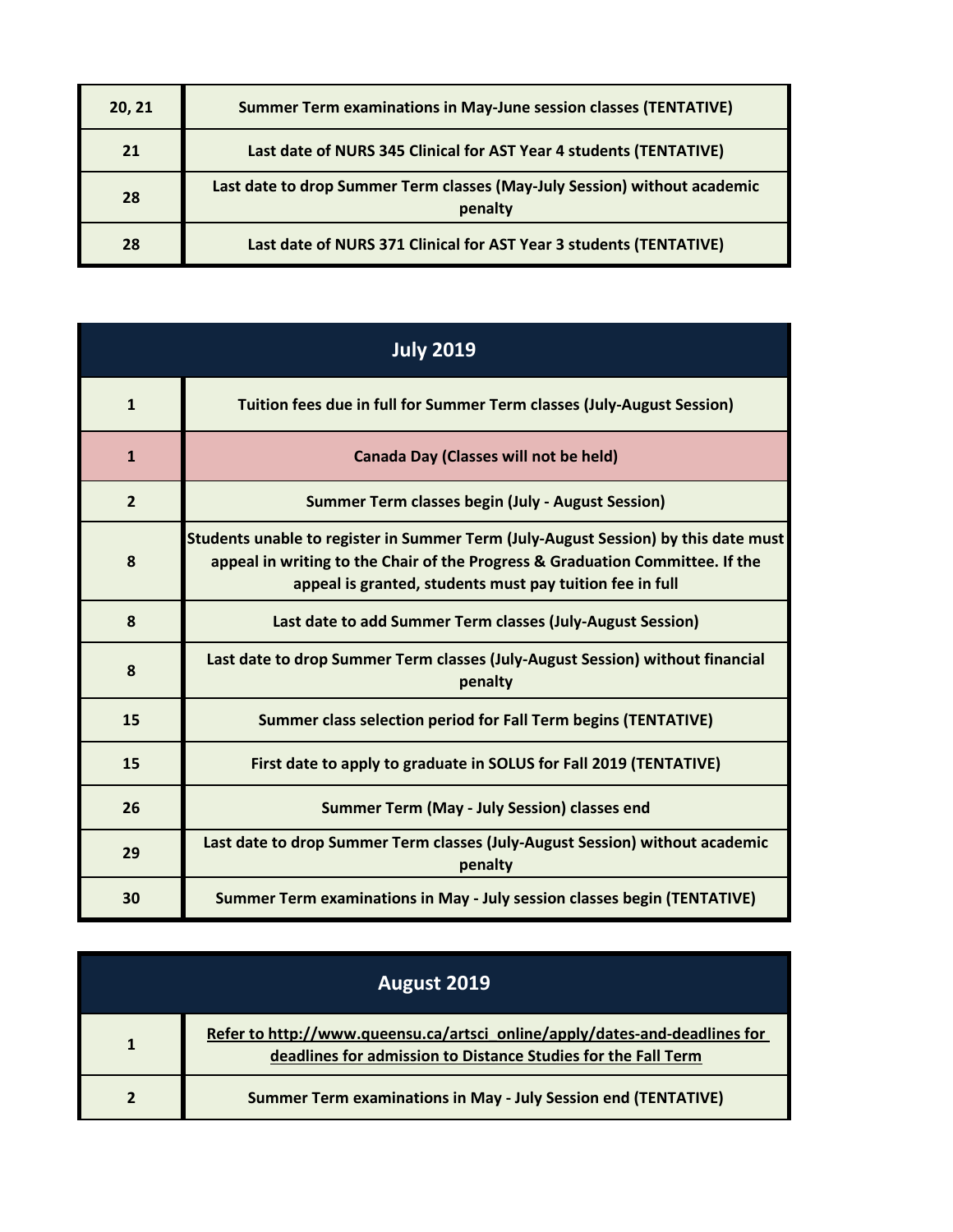| 20, 21 | <b>Summer Term examinations in May-June session classes (TENTATIVE)</b>              |
|--------|--------------------------------------------------------------------------------------|
| 21     | Last date of NURS 345 Clinical for AST Year 4 students (TENTATIVE)                   |
| 28     | Last date to drop Summer Term classes (May-July Session) without academic<br>penalty |
| 28     | Last date of NURS 371 Clinical for AST Year 3 students (TENTATIVE)                   |

| <b>July 2019</b> |                                                                                                                                                                                                                                 |
|------------------|---------------------------------------------------------------------------------------------------------------------------------------------------------------------------------------------------------------------------------|
| $\mathbf{1}$     | Tuition fees due in full for Summer Term classes (July-August Session)                                                                                                                                                          |
| $\mathbf{1}$     | <b>Canada Day (Classes will not be held)</b>                                                                                                                                                                                    |
| $\overline{2}$   | <b>Summer Term classes begin (July - August Session)</b>                                                                                                                                                                        |
| 8                | Students unable to register in Summer Term (July-August Session) by this date must<br>appeal in writing to the Chair of the Progress & Graduation Committee. If the<br>appeal is granted, students must pay tuition fee in full |
| 8                | Last date to add Summer Term classes (July-August Session)                                                                                                                                                                      |
| 8                | Last date to drop Summer Term classes (July-August Session) without financial<br>penalty                                                                                                                                        |
| 15               | Summer class selection period for Fall Term begins (TENTATIVE)                                                                                                                                                                  |
| 15               | First date to apply to graduate in SOLUS for Fall 2019 (TENTATIVE)                                                                                                                                                              |
| 26               | <b>Summer Term (May - July Session) classes end</b>                                                                                                                                                                             |
| 29               | Last date to drop Summer Term classes (July-August Session) without academic<br>penalty                                                                                                                                         |
| 30               | Summer Term examinations in May - July session classes begin (TENTATIVE)                                                                                                                                                        |

| August 2019 |                                                                                                                                             |
|-------------|---------------------------------------------------------------------------------------------------------------------------------------------|
| 1           | Refer to http://www.queensu.ca/artsci_online/apply/dates-and-deadlines for<br>deadlines for admission to Distance Studies for the Fall Term |
|             | <b>Summer Term examinations in May - July Session end (TENTATIVE)</b>                                                                       |